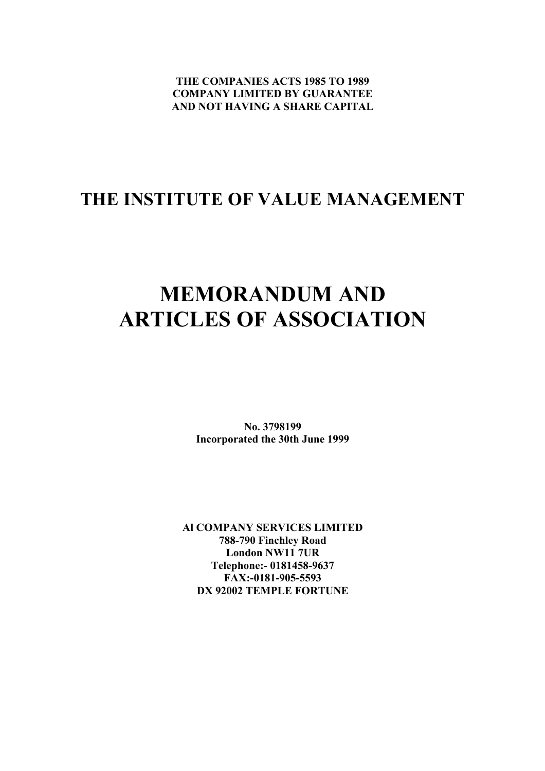**THE COMPANIES ACTS 1985 TO 1989 COMPANY LIMITED BY GUARANTEE AND NOT HAVING A SHARE CAPITAL**

### **THE INSTITUTE OF VALUE MANAGEMENT**

## **MEMORANDUM AND ARTICLES OF ASSOCIATION**

**No. 3798199 Incorporated the 30th June 1999**

**Al COMPANY SERVICES LIMITED 788-790 Finchley Road London NW11 7UR Telephone:- 0181458-9637 FAX:-0181-905-5593 DX 92002 TEMPLE FORTUNE**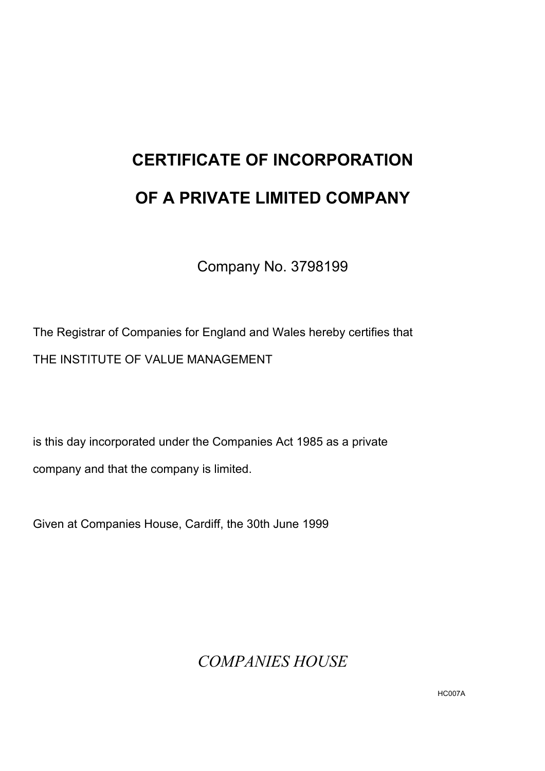# **CERTIFICATE OF INCORPORATION OF A PRIVATE LIMITED COMPANY**

Company No. 3798199

The Registrar of Companies for England and Wales hereby certifies that THE INSTITUTE OF VALUE MANAGEMENT

is this day incorporated under the Companies Act 1985 as a private company and that the company is limited.

Given at Companies House, Cardiff, the 30th June 1999

*COMPANIES HOUSE*

HC007A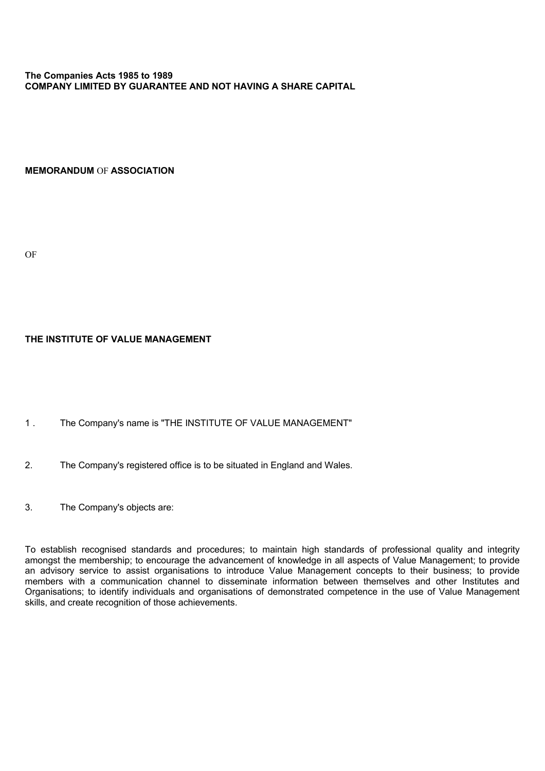#### **The Companies Acts 1985 to 1989 COMPANY LIMITED BY GUARANTEE AND NOT HAVING A SHARE CAPITAL**

**MEMORANDUM** OF **ASSOCIATION**

OF

#### **THE INSTITUTE OF VALUE MANAGEMENT**

- 1 . The Company's name is "THE INSTITUTE OF VALUE MANAGEMENT"
- 2. The Company's registered office is to be situated in England and Wales.
- 3. The Company's objects are:

To establish recognised standards and procedures; to maintain high standards of professional quality and integrity amongst the membership; to encourage the advancement of knowledge in all aspects of Value Management; to provide an advisory service to assist organisations to introduce Value Management concepts to their business; to provide members with a communication channel to disseminate information between themselves and other Institutes and Organisations; to identify individuals and organisations of demonstrated competence in the use of Value Management skills, and create recognition of those achievements.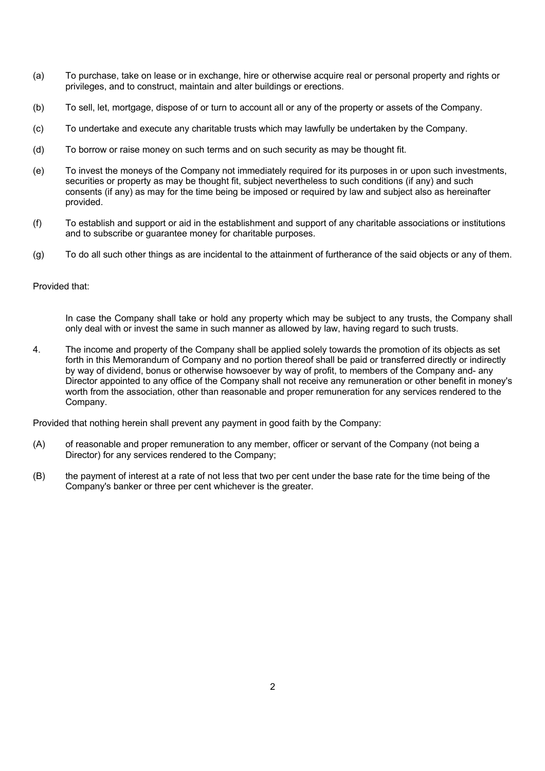- (a) To purchase, take on lease or in exchange, hire or otherwise acquire real or personal property and rights or privileges, and to construct, maintain and alter buildings or erections.
- (b) To sell, let, mortgage, dispose of or turn to account all or any of the property or assets of the Company.
- (c) To undertake and execute any charitable trusts which may lawfully be undertaken by the Company.
- (d) To borrow or raise money on such terms and on such security as may be thought fit.
- (e) To invest the moneys of the Company not immediately required for its purposes in or upon such investments, securities or property as may be thought fit, subject nevertheless to such conditions (if any) and such consents (if any) as may for the time being be imposed or required by law and subject also as hereinafter provided.
- (f) To establish and support or aid in the establishment and support of any charitable associations or institutions and to subscribe or guarantee money for charitable purposes.
- (g) To do all such other things as are incidental to the attainment of furtherance of the said objects or any of them.

#### Provided that:

In case the Company shall take or hold any property which may be subject to any trusts, the Company shall only deal with or invest the same in such manner as allowed by law, having regard to such trusts.

4. The income and property of the Company shall be applied solely towards the promotion of its objects as set forth in this Memorandum of Company and no portion thereof shall be paid or transferred directly or indirectly by way of dividend, bonus or otherwise howsoever by way of profit, to members of the Company and- any Director appointed to any office of the Company shall not receive any remuneration or other benefit in money's worth from the association, other than reasonable and proper remuneration for any services rendered to the Company.

Provided that nothing herein shall prevent any payment in good faith by the Company:

- (A) of reasonable and proper remuneration to any member, officer or servant of the Company (not being a Director) for any services rendered to the Company;
- (B) the payment of interest at a rate of not less that two per cent under the base rate for the time being of the Company's banker or three per cent whichever is the greater.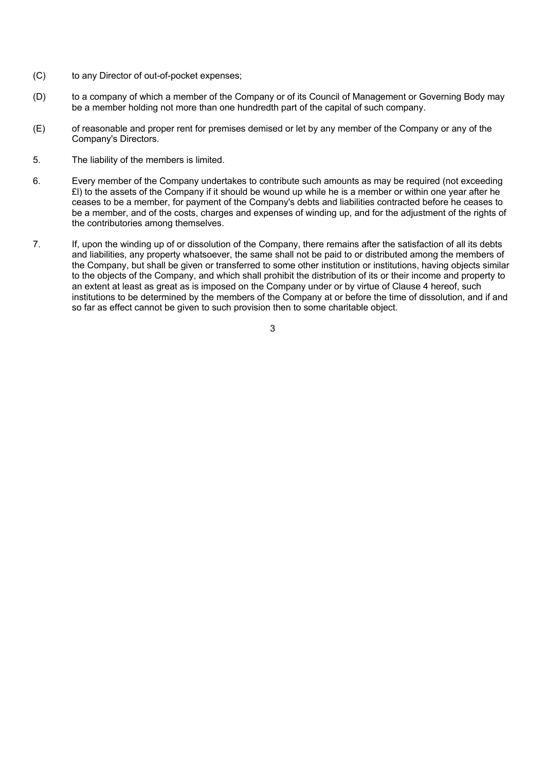- (C) to any Director of out-of-pocket expenses;
- (D) to a company of which a member of the Company or of its Council of Management or Governing Body may be a member holding not more than one hundredth part of the capital of such company.
- (E) of reasonable and proper rent for premises demised or let by any member of the Company or any of the Company's Directors.
- 5. The liability of the members is limited.
- 6. Every member of the Company undertakes to contribute such amounts as may be required (not exceeding £l) to the assets of the Company if it should be wound up while he is a member or within one year after he ceases to be a member, for payment of the Company's debts and liabilities contracted before he ceases to be a member, and of the costs, charges and expenses of winding up, and for the adjustment of the rights of the contributories among themselves.
- 7. If, upon the winding up of or dissolution of the Company, there remains after the satisfaction of all its debts and liabilities, any property whatsoever, the same shall not be paid to or distributed among the members of the Company, but shall be given or transferred to some other institution or institutions, having objects similar to the objects of the Company, and which shall prohibit the distribution of its or their income and property to an extent at least as great as is imposed on the Company under or by virtue of Clause 4 hereof, such institutions to be determined by the members of the Company at or before the time of dissolution, and if and so far as effect cannot be given to such provision then to some charitable object.

 $\overline{3}$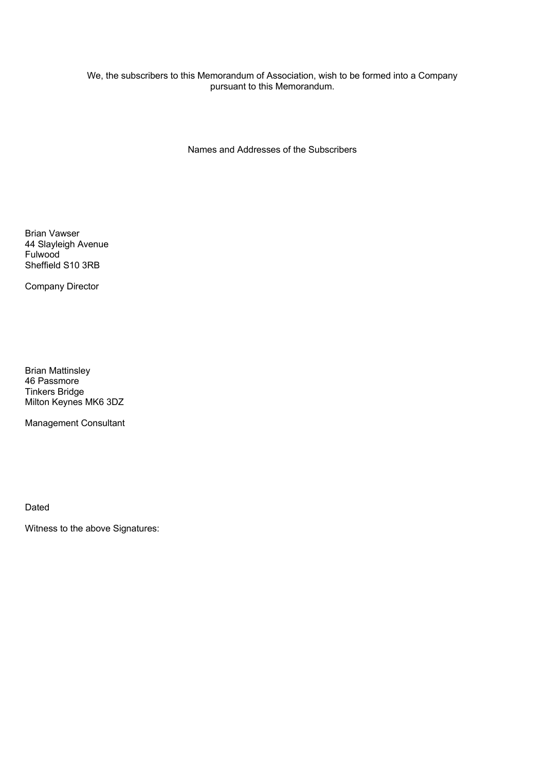#### We, the subscribers to this Memorandum of Association, wish to be formed into a Company pursuant to this Memorandum.

Names and Addresses of the Subscribers

Brian Vawser 44 Slayleigh Avenue Fulwood Sheffield S10 3RB

Company Director

Brian Mattinsley 46 Passmore Tinkers Bridge Milton Keynes MK6 3DZ

Management Consultant

Dated

Witness to the above Signatures: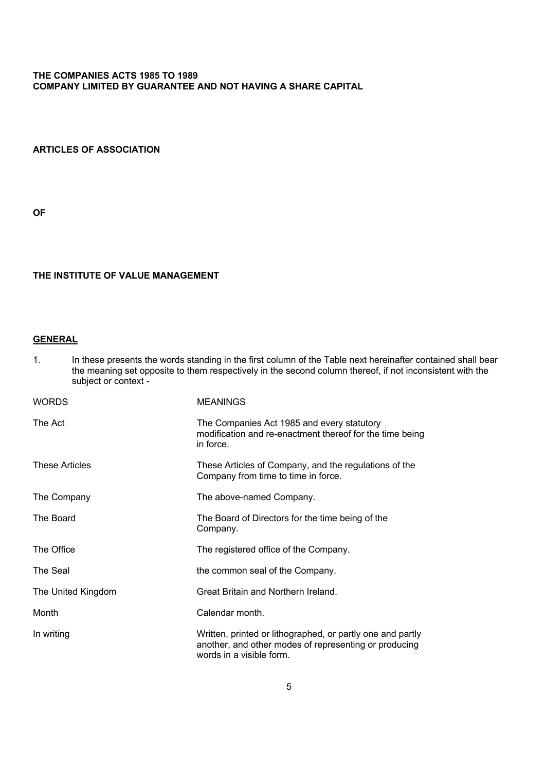#### **THE COMPANIES ACTS 1985 TO 1989 COMPANY LIMITED BY GUARANTEE AND NOT HAVING A SHARE CAPITAL**

#### **ARTICLES OF ASSOCIATION**

**OF**

#### **THE INSTITUTE OF VALUE MANAGEMENT**

#### **GENERAL**

1. In these presents the words standing in the first column of the Table next hereinafter contained shall bear the meaning set opposite to them respectively in the second column thereof, if not inconsistent with the subject or context -

| <b>WORDS</b>          | <b>MEANINGS</b>                                                                                                                                 |  |  |
|-----------------------|-------------------------------------------------------------------------------------------------------------------------------------------------|--|--|
| The Act               | The Companies Act 1985 and every statutory<br>modification and re-enactment thereof for the time being<br>in force.                             |  |  |
| <b>These Articles</b> | These Articles of Company, and the regulations of the<br>Company from time to time in force.                                                    |  |  |
| The Company           | The above-named Company.                                                                                                                        |  |  |
| The Board             | The Board of Directors for the time being of the<br>Company.                                                                                    |  |  |
| The Office            | The registered office of the Company.                                                                                                           |  |  |
| The Seal              | the common seal of the Company.                                                                                                                 |  |  |
| The United Kingdom    | Great Britain and Northern Ireland.                                                                                                             |  |  |
| Month                 | Calendar month.                                                                                                                                 |  |  |
| In writing            | Written, printed or lithographed, or partly one and partly<br>another, and other modes of representing or producing<br>words in a visible form. |  |  |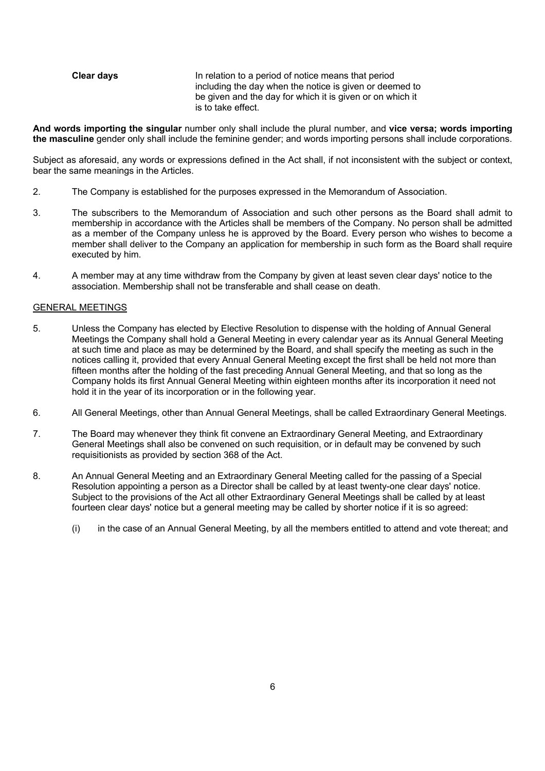#### **Clear days** In relation to a period of notice means that period including the day when the notice is given or deemed to be given and the day for which it is given or on which it is to take effect.

**And words importing the singular** number only shall include the plural number, and **vice versa; words importing the masculine** gender only shall include the feminine gender; and words importing persons shall include corporations.

Subject as aforesaid, any words or expressions defined in the Act shall, if not inconsistent with the subject or context, bear the same meanings in the Articles.

- 2. The Company is established for the purposes expressed in the Memorandum of Association.
- 3. The subscribers to the Memorandum of Association and such other persons as the Board shall admit to membership in accordance with the Articles shall be members of the Company. No person shall be admitted as a member of the Company unless he is approved by the Board. Every person who wishes to become a member shall deliver to the Company an application for membership in such form as the Board shall require executed by him.
- 4. A member may at any time withdraw from the Company by given at least seven clear days' notice to the association. Membership shall not be transferable and shall cease on death.

#### GENERAL MEETINGS

- 5. Unless the Company has elected by Elective Resolution to dispense with the holding of Annual General Meetings the Company shall hold a General Meeting in every calendar year as its Annual General Meeting at such time and place as may be determined by the Board, and shall specify the meeting as such in the notices calling it, provided that every Annual General Meeting except the first shall be held not more than fifteen months after the holding of the fast preceding Annual General Meeting, and that so long as the Company holds its first Annual General Meeting within eighteen months after its incorporation it need not hold it in the year of its incorporation or in the following year.
- 6. All General Meetings, other than Annual General Meetings, shall be called Extraordinary General Meetings.
- 7. The Board may whenever they think fit convene an Extraordinary General Meeting, and Extraordinary General Meetings shall also be convened on such requisition, or in default may be convened by such requisitionists as provided by section 368 of the Act.
- 8. An Annual General Meeting and an Extraordinary General Meeting called for the passing of a Special Resolution appointing a person as a Director shall be called by at least twenty-one clear days' notice. Subject to the provisions of the Act all other Extraordinary General Meetings shall be called by at least fourteen clear days' notice but a general meeting may be called by shorter notice if it is so agreed:
	- (i) in the case of an Annual General Meeting, by all the members entitled to attend and vote thereat; and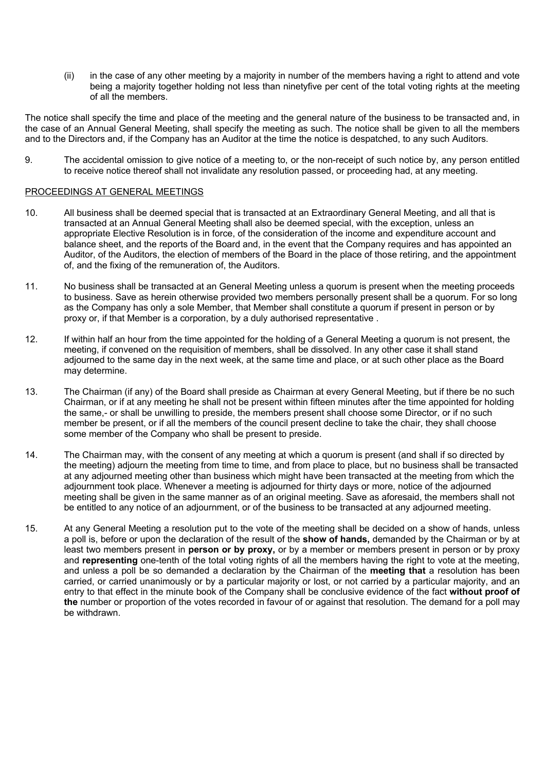(ii) in the case of any other meeting by a majority in number of the members having a right to attend and vote being a majority together holding not less than ninetyfive per cent of the total voting rights at the meeting of all the members.

The notice shall specify the time and place of the meeting and the general nature of the business to be transacted and, in the case of an Annual General Meeting, shall specify the meeting as such. The notice shall be given to all the members and to the Directors and, if the Company has an Auditor at the time the notice is despatched, to any such Auditors.

9. The accidental omission to give notice of a meeting to, or the non-receipt of such notice by, any person entitled to receive notice thereof shall not invalidate any resolution passed, or proceeding had, at any meeting.

#### PROCEEDINGS AT GENERAL MEETINGS

- 10. All business shall be deemed special that is transacted at an Extraordinary General Meeting, and all that is transacted at an Annual General Meeting shall also be deemed special, with the exception, unless an appropriate Elective Resolution is in force, of the consideration of the income and expenditure account and balance sheet, and the reports of the Board and, in the event that the Company requires and has appointed an Auditor, of the Auditors, the election of members of the Board in the place of those retiring, and the appointment of, and the fixing of the remuneration of, the Auditors.
- 11. No business shall be transacted at an General Meeting unless a quorum is present when the meeting proceeds to business. Save as herein otherwise provided two members personally present shall be a quorum. For so long as the Company has only a sole Member, that Member shall constitute a quorum if present in person or by proxy or, if that Member is a corporation, by a duly authorised representative .
- 12. If within half an hour from the time appointed for the holding of a General Meeting a quorum is not present, the meeting, if convened on the requisition of members, shall be dissolved. In any other case it shall stand adjourned to the same day in the next week, at the same time and place, or at such other place as the Board may determine.
- 13. The Chairman (if any) of the Board shall preside as Chairman at every General Meeting, but if there be no such Chairman, or if at any meeting he shall not be present within fifteen minutes after the time appointed for holding the same,- or shall be unwilling to preside, the members present shall choose some Director, or if no such member be present, or if all the members of the council present decline to take the chair, they shall choose some member of the Company who shall be present to preside.
- 14. The Chairman may, with the consent of any meeting at which a quorum is present (and shall if so directed by the meeting) adjourn the meeting from time to time, and from place to place, but no business shall be transacted at any adjourned meeting other than business which might have been transacted at the meeting from which the adjournment took place. Whenever a meeting is adjourned for thirty days or more, notice of the adjourned meeting shall be given in the same manner as of an original meeting. Save as aforesaid, the members shall not be entitled to any notice of an adjournment, or of the business to be transacted at any adjourned meeting.
- 15. At any General Meeting a resolution put to the vote of the meeting shall be decided on a show of hands, unless a poll is, before or upon the declaration of the result of the **show of hands,** demanded by the Chairman or by at least two members present in **person or by proxy,** or by a member or members present in person or by proxy and **representing** one-tenth of the total voting rights of all the members having the right to vote at the meeting, and unless a poll be so demanded a declaration by the Chairman of the **meeting that** a resolution has been carried, or carried unanimously or by a particular majority or lost, or not carried by a particular majority, and an entry to that effect in the minute book of the Company shall be conclusive evidence of the fact **without proof of the** number or proportion of the votes recorded in favour of or against that resolution. The demand for a poll may be withdrawn.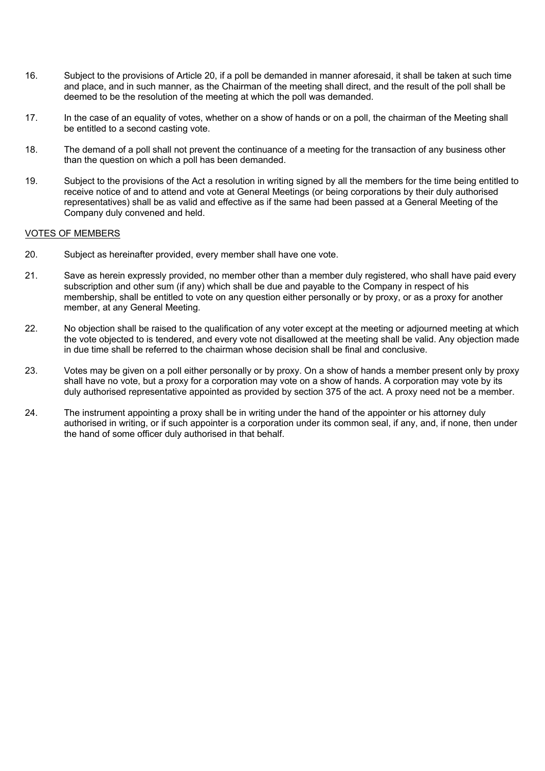- 16. Subject to the provisions of Article 20, if a poll be demanded in manner aforesaid, it shall be taken at such time and place, and in such manner, as the Chairman of the meeting shall direct, and the result of the poll shall be deemed to be the resolution of the meeting at which the poll was demanded.
- 17. In the case of an equality of votes, whether on a show of hands or on a poll, the chairman of the Meeting shall be entitled to a second casting vote.
- 18. The demand of a poll shall not prevent the continuance of a meeting for the transaction of any business other than the question on which a poll has been demanded.
- 19. Subject to the provisions of the Act a resolution in writing signed by all the members for the time being entitled to receive notice of and to attend and vote at General Meetings (or being corporations by their duly authorised representatives) shall be as valid and effective as if the same had been passed at a General Meeting of the Company duly convened and held.

#### VOTES OF MEMBERS

- 20. Subject as hereinafter provided, every member shall have one vote.
- 21. Save as herein expressly provided, no member other than a member duly registered, who shall have paid every subscription and other sum (if any) which shall be due and payable to the Company in respect of his membership, shall be entitled to vote on any question either personally or by proxy, or as a proxy for another member, at any General Meeting.
- 22. No objection shall be raised to the qualification of any voter except at the meeting or adjourned meeting at which the vote objected to is tendered, and every vote not disallowed at the meeting shall be valid. Any objection made in due time shall be referred to the chairman whose decision shall be final and conclusive.
- 23. Votes may be given on a poll either personally or by proxy. On a show of hands a member present only by proxy shall have no vote, but a proxy for a corporation may vote on a show of hands. A corporation may vote by its duly authorised representative appointed as provided by section 375 of the act. A proxy need not be a member.
- 24. The instrument appointing a proxy shall be in writing under the hand of the appointer or his attorney duly authorised in writing, or if such appointer is a corporation under its common seal, if any, and, if none, then under the hand of some officer duly authorised in that behalf.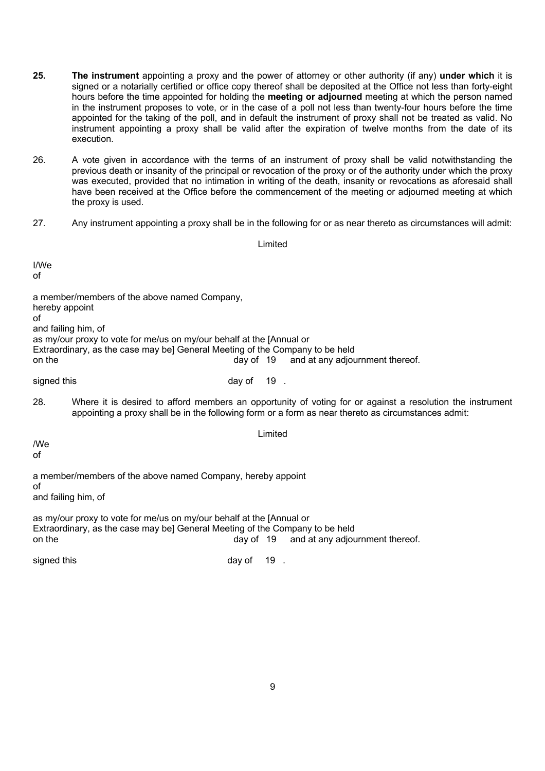- **25. The instrument** appointing a proxy and the power of attorney or other authority (if any) **under which** it is signed or a notarially certified or office copy thereof shall be deposited at the Office not less than forty-eight hours before the time appointed for holding the **meeting or adjourned** meeting at which the person named in the instrument proposes to vote, or in the case of a poll not less than twenty-four hours before the time appointed for the taking of the poll, and in default the instrument of proxy shall not be treated as valid. No instrument appointing a proxy shall be valid after the expiration of twelve months from the date of its execution.
- 26. A vote given in accordance with the terms of an instrument of proxy shall be valid notwithstanding the previous death or insanity of the principal or revocation of the proxy or of the authority under which the proxy was executed, provided that no intimation in writing of the death, insanity or revocations as aforesaid shall have been received at the Office before the commencement of the meeting or adjourned meeting at which the proxy is used.
- 27. Any instrument appointing a proxy shall be in the following for or as near thereto as circumstances will admit:

| Limited                                                                                                                                                                                                                                                       |            |         |                                           |  |
|---------------------------------------------------------------------------------------------------------------------------------------------------------------------------------------------------------------------------------------------------------------|------------|---------|-------------------------------------------|--|
| I/We<br>οf                                                                                                                                                                                                                                                    |            |         |                                           |  |
| a member/members of the above named Company,<br>hereby appoint<br>οf<br>and failing him, of<br>as my/our proxy to vote for me/us on my/our behalf at the [Annual or<br>Extraordinary, as the case may be] General Meeting of the Company to be held<br>on the |            |         | day of 19 and at any adjournment thereof. |  |
| signed this                                                                                                                                                                                                                                                   | day of 19. |         |                                           |  |
| 28.<br>Where it is desired to afford members an opportunity of voting for or against a resolution the instrument<br>appointing a proxy shall be in the following form or a form as near thereto as circumstances admit:                                       |            |         |                                           |  |
| /We<br>οf                                                                                                                                                                                                                                                     |            | Limited |                                           |  |
| a member/members of the above named Company, hereby appoint<br>of<br>and failing him, of                                                                                                                                                                      |            |         |                                           |  |
| as my/our proxy to vote for me/us on my/our behalf at the [Annual or<br>Extraordinary, as the case may be] General Meeting of the Company to be held<br>day of 19<br>and at any adjournment thereof.<br>on the                                                |            |         |                                           |  |
| signed this                                                                                                                                                                                                                                                   | day of     | 19.     |                                           |  |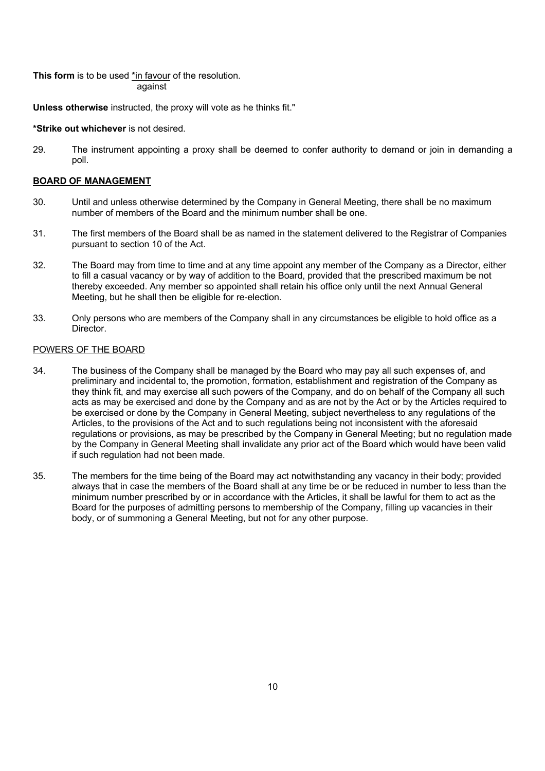**This form** is to be used \*in favour of the resolution. against

**Unless otherwise** instructed, the proxy will vote as he thinks fit."

#### **\*Strike out whichever** is not desired.

29. The instrument appointing a proxy shall be deemed to confer authority to demand or join in demanding a poll.

#### **BOARD OF MANAGEMENT**

- 30. Until and unless otherwise determined by the Company in General Meeting, there shall be no maximum number of members of the Board and the minimum number shall be one.
- 31. The first members of the Board shall be as named in the statement delivered to the Registrar of Companies pursuant to section 10 of the Act.
- 32. The Board may from time to time and at any time appoint any member of the Company as a Director, either to fill a casual vacancy or by way of addition to the Board, provided that the prescribed maximum be not thereby exceeded. Any member so appointed shall retain his office only until the next Annual General Meeting, but he shall then be eligible for re-election.
- 33. Only persons who are members of the Company shall in any circumstances be eligible to hold office as a **Director**

#### POWERS OF THE BOARD

- 34. The business of the Company shall be managed by the Board who may pay all such expenses of, and preliminary and incidental to, the promotion, formation, establishment and registration of the Company as they think fit, and may exercise all such powers of the Company, and do on behalf of the Company all such acts as may be exercised and done by the Company and as are not by the Act or by the Articles required to be exercised or done by the Company in General Meeting, subject nevertheless to any regulations of the Articles, to the provisions of the Act and to such regulations being not inconsistent with the aforesaid regulations or provisions, as may be prescribed by the Company in General Meeting; but no regulation made by the Company in General Meeting shall invalidate any prior act of the Board which would have been valid if such regulation had not been made.
- 35. The members for the time being of the Board may act notwithstanding any vacancy in their body; provided always that in case the members of the Board shall at any time be or be reduced in number to less than the minimum number prescribed by or in accordance with the Articles, it shall be lawful for them to act as the Board for the purposes of admitting persons to membership of the Company, filling up vacancies in their body, or of summoning a General Meeting, but not for any other purpose.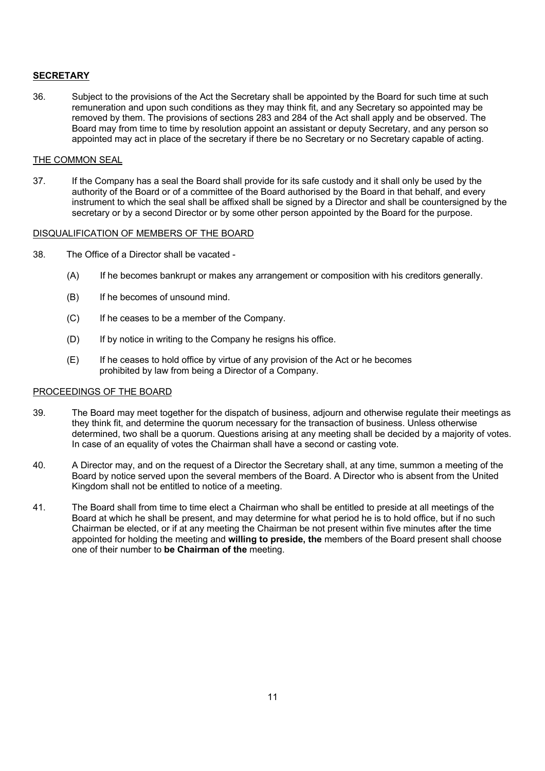#### **SECRETARY**

36. Subject to the provisions of the Act the Secretary shall be appointed by the Board for such time at such remuneration and upon such conditions as they may think fit, and any Secretary so appointed may be removed by them. The provisions of sections 283 and 284 of the Act shall apply and be observed. The Board may from time to time by resolution appoint an assistant or deputy Secretary, and any person so appointed may act in place of the secretary if there be no Secretary or no Secretary capable of acting.

#### THE COMMON SEAL

37. If the Company has a seal the Board shall provide for its safe custody and it shall only be used by the authority of the Board or of a committee of the Board authorised by the Board in that behalf, and every instrument to which the seal shall be affixed shall be signed by a Director and shall be countersigned by the secretary or by a second Director or by some other person appointed by the Board for the purpose.

#### DISQUALIFICATION OF MEMBERS OF THE BOARD

- 38. The Office of a Director shall be vacated
	- (A) If he becomes bankrupt or makes any arrangement or composition with his creditors generally.
	- (B) If he becomes of unsound mind.
	- (C) If he ceases to be a member of the Company.
	- (D) If by notice in writing to the Company he resigns his office.
	- (E) If he ceases to hold office by virtue of any provision of the Act or he becomes prohibited by law from being a Director of a Company.

#### PROCEEDINGS OF THE BOARD

- 39. The Board may meet together for the dispatch of business, adjourn and otherwise regulate their meetings as they think fit, and determine the quorum necessary for the transaction of business. Unless otherwise determined, two shall be a quorum. Questions arising at any meeting shall be decided by a majority of votes. In case of an equality of votes the Chairman shall have a second or casting vote.
- 40. A Director may, and on the request of a Director the Secretary shall, at any time, summon a meeting of the Board by notice served upon the several members of the Board. A Director who is absent from the United Kingdom shall not be entitled to notice of a meeting.
- 41. The Board shall from time to time elect a Chairman who shall be entitled to preside at all meetings of the Board at which he shall be present, and may determine for what period he is to hold office, but if no such Chairman be elected, or if at any meeting the Chairman be not present within five minutes after the time appointed for holding the meeting and **willing to preside, the** members of the Board present shall choose one of their number to **be Chairman of the** meeting.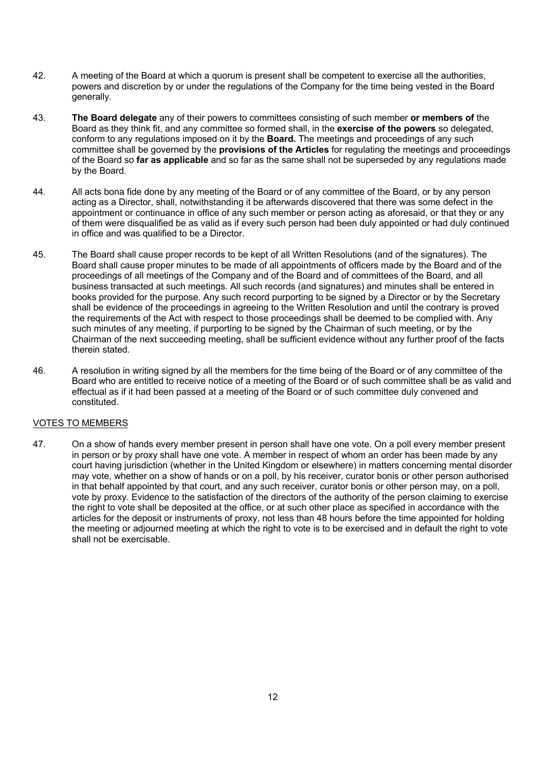- 42. A meeting of the Board at which a quorum is present shall be competent to exercise all the authorities, powers and discretion by or under the regulations of the Company for the time being vested in the Board generally.
- 43. **The Board delegate** any of their powers to committees consisting of such member **or members of** the Board as they think fit, and any committee so formed shall, in the **exercise of the powers** so delegated, conform to any regulations imposed on it by the **Board.** The meetings and proceedings of any such committee shall be governed by the **provisions of the Articles** for regulating the meetings and proceedings of the Board so **far as applicable** and so far as the same shall not be superseded by any regulations made by the Board.
- 44. All acts bona fide done by any meeting of the Board or of any committee of the Board, or by any person acting as a Director, shall, notwithstanding it be afterwards discovered that there was some defect in the appointment or continuance in office of any such member or person acting as aforesaid, or that they or any of them were disqualified be as valid as if every such person had been duly appointed or had duly continued in office and was qualified to be a Director.
- 45. The Board shall cause proper records to be kept of all Written Resolutions (and of the signatures). The Board shall cause proper minutes to be made of all appointments of officers made by the Board and of the proceedings of all meetings of the Company and of the Board and of committees of the Board, and all business transacted at such meetings. All such records (and signatures) and minutes shall be entered in books provided for the purpose. Any such record purporting to be signed by a Director or by the Secretary shall be evidence of the proceedings in agreeing to the Written Resolution and until the contrary is proved the requirements of the Act with respect to those proceedings shall be deemed to be complied with. Any such minutes of any meeting, if purporting to be signed by the Chairman of such meeting, or by the Chairman of the next succeeding meeting, shall be sufficient evidence without any further proof of the facts therein stated.
- 46. A resolution in writing signed by all the members for the time being of the Board or of any committee of the Board who are entitled to receive notice of a meeting of the Board or of such committee shall be as valid and effectual as if it had been passed at a meeting of the Board or of such committee duly convened and constituted.

#### VOTES TO MEMBERS

47. On a show of hands every member present in person shall have one vote. On a poll every member present in person or by proxy shall have one vote. A member in respect of whom an order has been made by any court having jurisdiction (whether in the United Kingdom or elsewhere) in matters concerning mental disorder may vote, whether on a show of hands or on a poll, by his receiver, curator bonis or other person authorised in that behalf appointed by that court, and any such receiver, curator bonis or other person may, on a poll, vote by proxy. Evidence to the satisfaction of the directors of the authority of the person claiming to exercise the right to vote shall be deposited at the office, or at such other place as specified in accordance with the articles for the deposit or instruments of proxy, not less than 48 hours before the time appointed for holding the meeting or adjourned meeting at which the right to vote is to be exercised and in default the right to vote shall not be exercisable.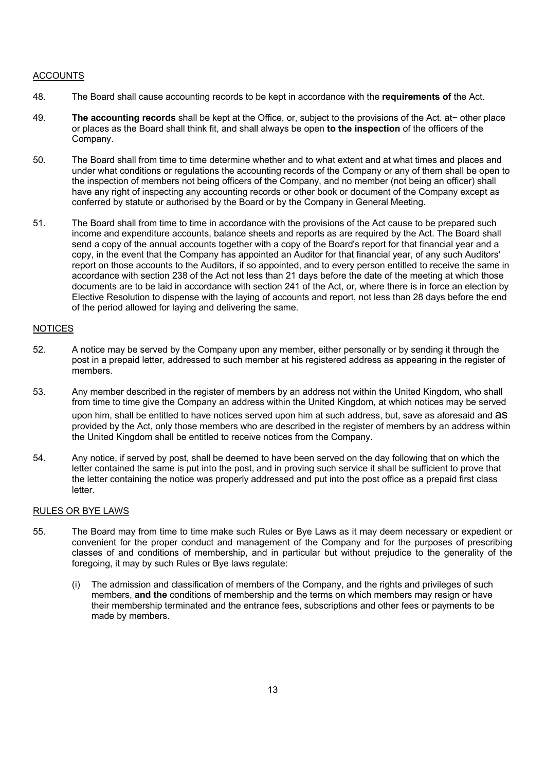#### ACCOUNTS

- 48. The Board shall cause accounting records to be kept in accordance with the **requirements of** the Act.
- 49. **The accounting records** shall be kept at the Office, or, subject to the provisions of the Act. at~ other place or places as the Board shall think fit, and shall always be open **to the inspection** of the officers of the Company.
- 50. The Board shall from time to time determine whether and to what extent and at what times and places and under what conditions or regulations the accounting records of the Company or any of them shall be open to the inspection of members not being officers of the Company, and no member (not being an officer) shall have any right of inspecting any accounting records or other book or document of the Company except as conferred by statute or authorised by the Board or by the Company in General Meeting.
- 51. The Board shall from time to time in accordance with the provisions of the Act cause to be prepared such income and expenditure accounts, balance sheets and reports as are required by the Act. The Board shall send a copy of the annual accounts together with a copy of the Board's report for that financial year and a copy, in the event that the Company has appointed an Auditor for that financial year, of any such Auditors' report on those accounts to the Auditors, if so appointed, and to every person entitled to receive the same in accordance with section 238 of the Act not less than 21 days before the date of the meeting at which those documents are to be laid in accordance with section 241 of the Act, or, where there is in force an election by Elective Resolution to dispense with the laying of accounts and report, not less than 28 days before the end of the period allowed for laying and delivering the same.

#### **NOTICES**

- 52. A notice may be served by the Company upon any member, either personally or by sending it through the post in a prepaid letter, addressed to such member at his registered address as appearing in the register of members.
- 53. Any member described in the register of members by an address not within the United Kingdom, who shall from time to time give the Company an address within the United Kingdom, at which notices may be served upon him, shall be entitled to have notices served upon him at such address, but, save as aforesaid and aS provided by the Act, only those members who are described in the register of members by an address within the United Kingdom shall be entitled to receive notices from the Company.
- 54. Any notice, if served by post, shall be deemed to have been served on the day following that on which the letter contained the same is put into the post, and in proving such service it shall be sufficient to prove that the letter containing the notice was properly addressed and put into the post office as a prepaid first class letter.

#### RULES OR BYE LAWS

- 55. The Board may from time to time make such Rules or Bye Laws as it may deem necessary or expedient or convenient for the proper conduct and management of the Company and for the purposes of prescribing classes of and conditions of membership, and in particular but without prejudice to the generality of the foregoing, it may by such Rules or Bye laws regulate:
	- (i) The admission and classification of members of the Company, and the rights and privileges of such members, **and the** conditions of membership and the terms on which members may resign or have their membership terminated and the entrance fees, subscriptions and other fees or payments to be made by members.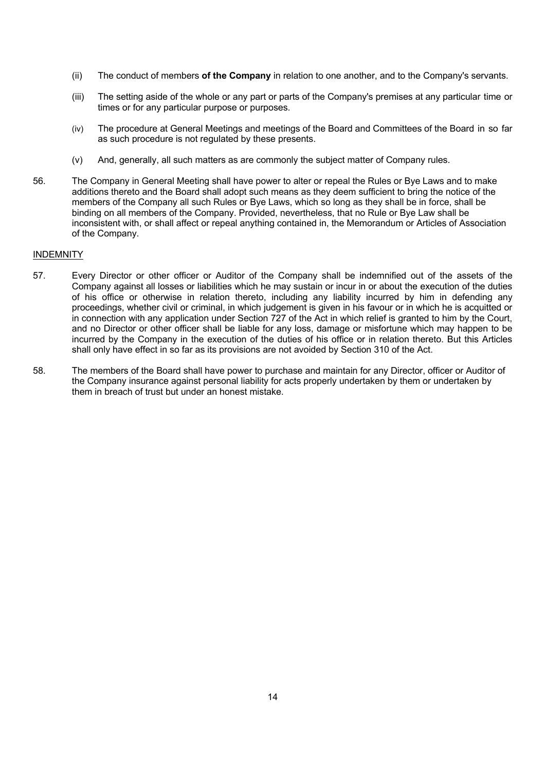- (ii) The conduct of members **of the Company** in relation to one another, and to the Company's servants.
- (iii) The setting aside of the whole or any part or parts of the Company's premises at any particular time or times or for any particular purpose or purposes.
- (iv) The procedure at General Meetings and meetings of the Board and Committees of the Board in so far as such procedure is not regulated by these presents.
- (v) And, generally, all such matters as are commonly the subject matter of Company rules.
- 56. The Company in General Meeting shall have power to alter or repeal the Rules or Bye Laws and to make additions thereto and the Board shall adopt such means as they deem sufficient to bring the notice of the members of the Company all such Rules or Bye Laws, which so long as they shall be in force, shall be binding on all members of the Company. Provided, nevertheless, that no Rule or Bye Law shall be inconsistent with, or shall affect or repeal anything contained in, the Memorandum or Articles of Association of the Company.

#### INDEMNITY

- 57. Every Director or other officer or Auditor of the Company shall be indemnified out of the assets of the Company against all losses or liabilities which he may sustain or incur in or about the execution of the duties of his office or otherwise in relation thereto, including any liability incurred by him in defending any proceedings, whether civil or criminal, in which judgement is given in his favour or in which he is acquitted or in connection with any application under Section 727 of the Act in which relief is granted to him by the Court, and no Director or other officer shall be liable for any loss, damage or misfortune which may happen to be incurred by the Company in the execution of the duties of his office or in relation thereto. But this Articles shall only have effect in so far as its provisions are not avoided by Section 310 of the Act.
- 58. The members of the Board shall have power to purchase and maintain for any Director, officer or Auditor of the Company insurance against personal liability for acts properly undertaken by them or undertaken by them in breach of trust but under an honest mistake.